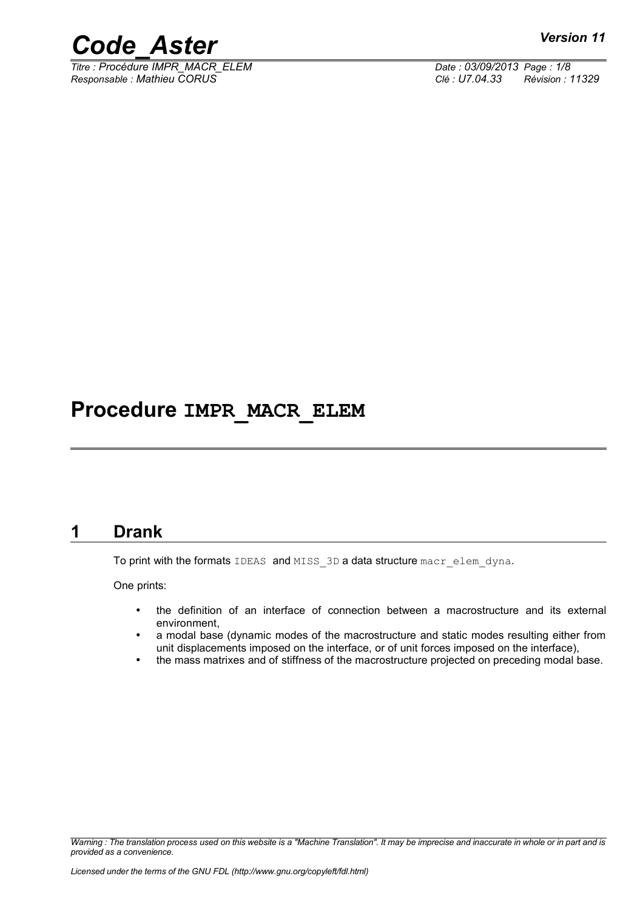

*Titre : Procédure IMPR\_MACR\_ELEM Date : 03/09/2013 Page : 1/8 Responsable : Mathieu CORUS Clé : U7.04.33 Révision : 11329*

### **Procedure IMPR\_MACR\_ELEM**

#### **1 Drank**

<span id="page-0-0"></span>To print with the formats IDEAS and MISS 3D a data structure macr\_elem\_dyna.

One prints:

- the definition of an interface of connection between a macrostructure and its external environment,
- a modal base (dynamic modes of the macrostructure and static modes resulting either from unit displacements imposed on the interface, or of unit forces imposed on the interface),
- the mass matrixes and of stiffness of the macrostructure projected on preceding modal base.

*Warning : The translation process used on this website is a "Machine Translation". It may be imprecise and inaccurate in whole or in part and is provided as a convenience.*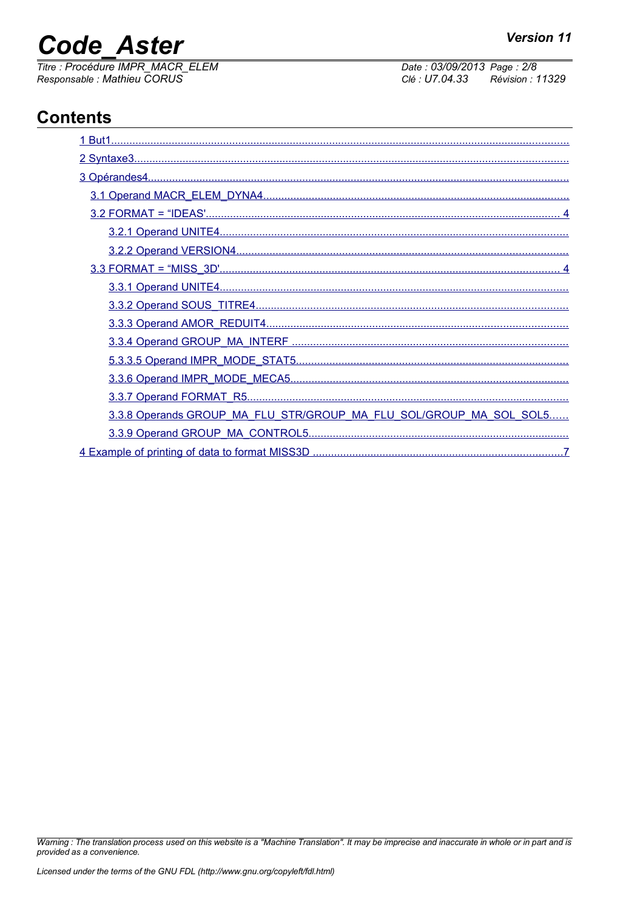## **Code Aster**

Titre : Procédure IMPR\_MACR\_ELEM<br>Responsable : Mathieu CORUS

Date: 03/09/2013 Page: 2/8 Clé : U7.04.33 Révision : 11329

### **Contents**

| 3.3.8 Operands GROUP_MA_FLU_STR/GROUP_MA_FLU_SOL/GROUP_MA_SOL_SOL5 |
|--------------------------------------------------------------------|
|                                                                    |
|                                                                    |

Warning : The translation process used on this website is a "Machine Translation". It may be imprecise and inaccurate in whole or in part and is provided as a convenience.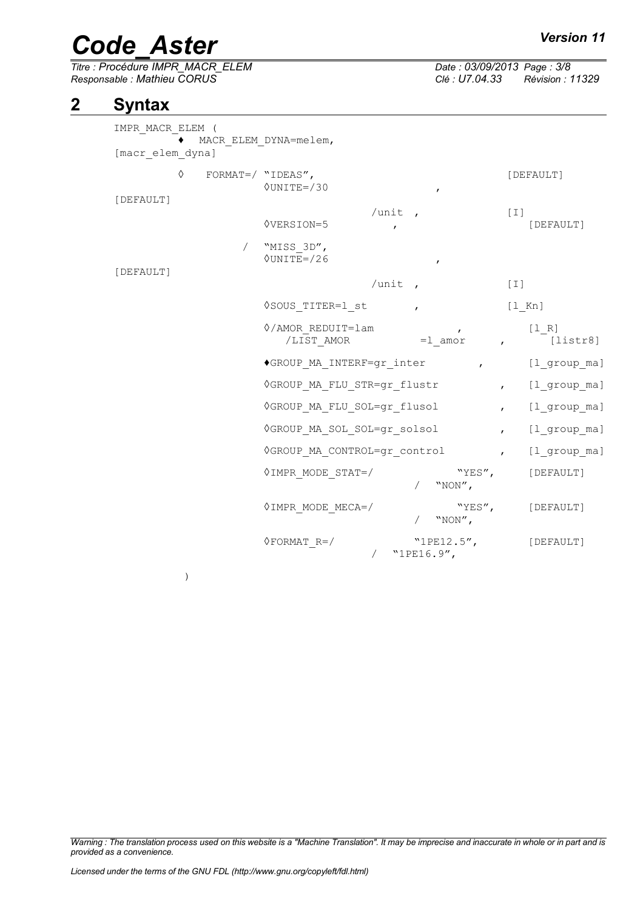# *Code\_Aster Version 11*<br> *Titre* : Procédure IMPR MACR ELEM Date : 03/09/2013 Page : 3/8

*Titre : Procédure IMPR\_MACR\_ELEM Date : 03/09/2013 Page : 3/8 Responsable : Mathieu CORUS Clé : U7.04.33 Révision : 11329*

### **2 Syntax**

<span id="page-2-0"></span>

| IMPR MACR ELEM ( |                     |                                                    |                                |                  |                   |                  |
|------------------|---------------------|----------------------------------------------------|--------------------------------|------------------|-------------------|------------------|
| [macr elem dyna] |                     | MACR ELEM DYNA=melem,                              |                                |                  |                   |                  |
| ♦                | FORMAT=/ $"IDEAS",$ | $\Diamond$ UNITE=/30                               |                                | $\mathbf{r}$     |                   | [DEFAULT]        |
| [DEFAULT]        |                     | <b>OVERSION=5</b>                                  | /unit $\prime$<br>$\mathbf{r}$ |                  | $\lceil 1 \rceil$ | [DEFAULT]        |
| [DEFAULT]        |                     | / "MISS 3D",<br>$\Diamond$ UNITE=/26               |                                | $\boldsymbol{r}$ |                   |                  |
|                  |                     | /unit $\prime$                                     |                                | $[1]$            |                   |                  |
|                  |                     | ◊SOUS TITER=1 st                                   | $\mathbf{r}$                   |                  | [l_Kn]            |                  |
|                  |                     | ◊/AMOR REDUIT=lam<br>/LIST AMOR =1 amor , [listr8] |                                | $\mathbf{r}$     |                   | $[1 R]$          |
|                  |                     | ◆GROUP MA INTERF=gr_inter , [l_group_ma]           |                                |                  |                   |                  |
|                  |                     | ◊GROUP MA FLU STR=gr flustr                        |                                |                  |                   | , [l group ma]   |
|                  |                     | ◊GROUP MA FLU SOL=gr flusol                        |                                |                  |                   | , [l group ma]   |
|                  |                     | OGROUP MA SOL SOL=gr solsol                        |                                |                  |                   | , [l_group_ma]   |
|                  |                     | VGROUP MA CONTROL=gr control ,                     |                                |                  |                   | [l group ma]     |
|                  |                     | $\Diamond$ IMPR MODE STAT=/                        |                                | "YES",<br>"NON", |                   | [DEFAULT]        |
|                  |                     | $\Diamond$ IMPR MODE MECA=/                        |                                | $/$ "NON",       |                   | "YES", [DEFAULT] |
|                  |                     | $\Diamond$ FORMAT R=/                              | / "1PE16.9",                   | "1PE12.5",       |                   | [DEFAULT]        |

)

*Warning : The translation process used on this website is a "Machine Translation". It may be imprecise and inaccurate in whole or in part and is provided as a convenience.*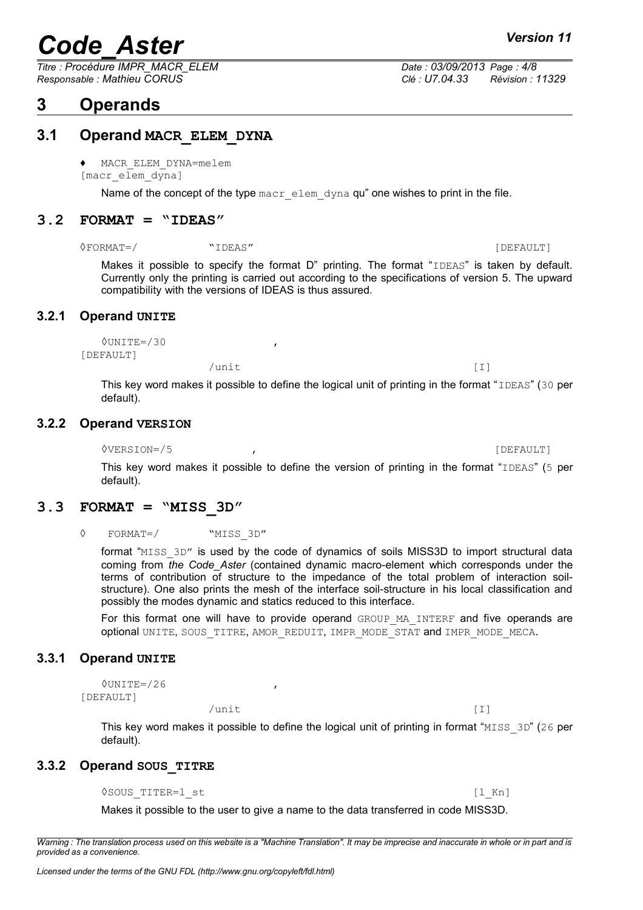*Titre : Procédure IMPR\_MACR\_ELEM Date : 03/09/2013 Page : 4/8 Responsable : Mathieu CORUS Clé : U7.04.33 Révision : 11329*

#### <span id="page-3-7"></span>**3 Operands**

#### *Licensed under the terms of the GNU FDL (http://www.gnu.org/copyleft/fdl.html)*

#### **3.1 Operand MACR\_ELEM\_DYNA**

<span id="page-3-6"></span>♦ MACR\_ELEM\_DYNA=melem

[macr\_elem\_dyna]

Name of the concept of the type  $\text{max-elem}$  dyna qu" one wishes to print in the file.

#### **3.2 FORMAT = "IDEAS"**

<span id="page-3-5"></span>◊FORMAT=/ "IDEAS" [DEFAULT]

Makes it possible to specify the format D" printing. The format "IDEAS" is taken by default. Currently only the printing is carried out according to the specifications of version 5. The upward compatibility with the versions of IDEAS is thus assured.

#### **3.2.1 Operand UNITE**

<span id="page-3-4"></span>◊UNITE=/30 , [DEFAULT]

> This key word makes it possible to define the logical unit of printing in the format "IDEAS" (30 per default).

/unit [I]

#### **3.2.2 Operand VERSION**

<span id="page-3-3"></span>◊VERSION=/5 , [DEFAULT]

This key word makes it possible to define the version of printing in the format "IDEAS" (5 per default).

#### **3.3 FORMAT = "MISS\_3D"**

<span id="page-3-2"></span>◊ FORMAT=/ "MISS\_3D"

format "MISS 3D" is used by the code of dynamics of soils MISS3D to import structural data coming from *the Code\_Aster* (contained dynamic macro-element which corresponds under the terms of contribution of structure to the impedance of the total problem of interaction soilstructure). One also prints the mesh of the interface soil-structure in his local classification and possibly the modes dynamic and statics reduced to this interface.

For this format one will have to provide operand GROUP MA\_INTERF and five operands are optional UNITE, SOUS\_TITRE, AMOR\_REDUIT, IMPR\_MODE\_STAT and IMPR\_MODE\_MECA.

#### **3.3.1 Operand UNITE**

<span id="page-3-1"></span> $\text{VUNITE} = / 26$ [DEFAULT]

> This key word makes it possible to define the logical unit of printing in format "MISS  $3D''$  (26 per default).

#### **3.3.2 Operand SOUS\_TITRE**

<span id="page-3-0"></span>◇SOUS TITER=1 st (1 Kn)

Makes it possible to the user to give a name to the data transferred in code MISS3D.

*Warning : The translation process used on this website is a "Machine Translation". It may be imprecise and inaccurate in whole or in part and is provided as a convenience.*

/unit [I]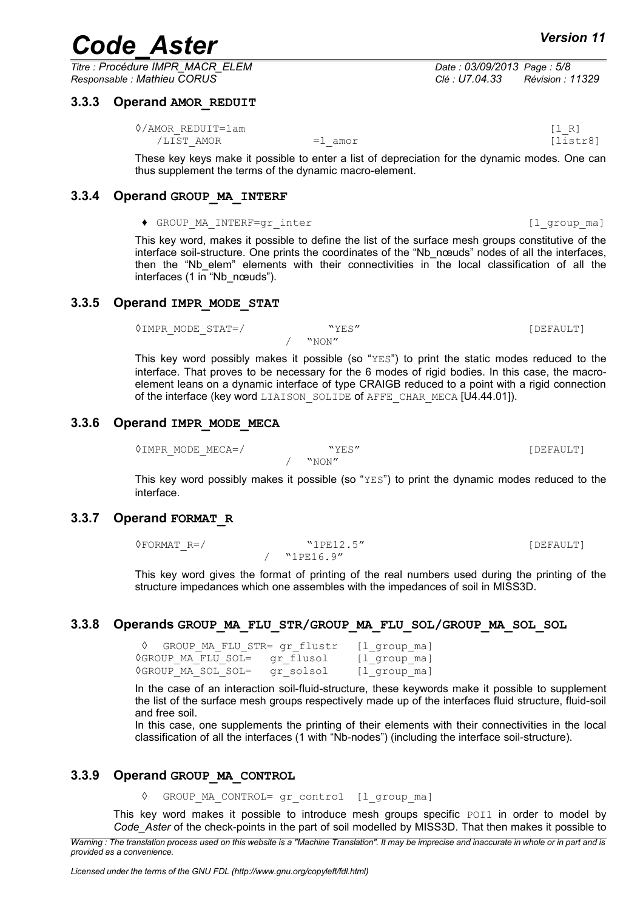*Titre : Procédure IMPR\_MACR\_ELEM Date : 03/09/2013 Page : 5/8 Responsable : Mathieu CORUS Clé : U7.04.33 Révision : 11329*

#### **3.3.3 Operand AMOR\_REDUIT**

<span id="page-4-6"></span> $\Diamond$ /AMOR\_REDUIT=lam [l\_R] /LIST\_AMOR =1 amor =1 amor [listr8]

<span id="page-4-5"></span>These key keys make it possible to enter a list of depreciation for the dynamic modes. One can thus supplement the terms of the dynamic macro-element.

#### **3.3.4 Operand GROUP\_MA\_INTERF**

◆ GROUP MA\_INTERF=qr\_inter the control of the control of the control of the control of the control of the control of the control of the control of the control of the control of the control of the control of the control of

This key word, makes it possible to define the list of the surface mesh groups constitutive of the interface soil-structure. One prints the coordinates of the "Nb\_nœuds" nodes of all the interfaces, then the "Nb elem" elements with their connectivities in the local classification of all the interfaces (1 in "Nb\_nœuds").

#### **3.3.5 Operand IMPR\_MODE\_STAT**

<span id="page-4-4"></span>◊IMPR\_MODE\_STAT=/ "YES" [DEFAULT] / "NON"

This key word possibly makes it possible (so "YES") to print the static modes reduced to the interface. That proves to be necessary for the 6 modes of rigid bodies. In this case, the macroelement leans on a dynamic interface of type CRAIGB reduced to a point with a rigid connection of the interface (key word LIAISON SOLIDE of AFFE CHAR MECA [U4.44.01]).

#### **3.3.6 Operand IMPR\_MODE\_MECA**

<span id="page-4-3"></span> $\Diamond$ IMPR\_MODE\_MECA=/ "YES"  $\forall$ YES" [DEFAULT] / "NON"

This key word possibly makes it possible (so " $YES$ ") to print the dynamic modes reduced to the interface.

#### **3.3.7 Operand FORMAT\_R**

<span id="page-4-2"></span>◊FORMAT\_R=/ "1PE12.5" [DEFAULT] / "1PE16.9"

This key word gives the format of printing of the real numbers used during the printing of the structure impedances which one assembles with the impedances of soil in MISS3D.

#### **3.3.8 Operands GROUP\_MA\_FLU\_STR/GROUP\_MA\_FLU\_SOL/GROUP\_MA\_SOL\_SOL**

<span id="page-4-1"></span>GROUP MA\_FLU\_STR= gr\_flustr [l\_group\_ma]  $\Diamond$ GROUP MA\_FLU\_SOL= gr\_flusol [l\_group\_ma] ◊GROUP\_MA\_SOL\_SOL= gr\_solsol [l\_group\_ma]

In the case of an interaction soil-fluid-structure, these keywords make it possible to supplement the list of the surface mesh groups respectively made up of the interfaces fluid structure, fluid-soil and free soil.

In this case, one supplements the printing of their elements with their connectivities in the local classification of all the interfaces (1 with "Nb-nodes") (including the interface soil-structure).

#### **3.3.9 Operand GROUP\_MA\_CONTROL**

<span id="page-4-0"></span>◊ GROUP\_MA\_CONTROL= gr\_control [l\_group\_ma]

This key word makes it possible to introduce mesh groups specific  $POT1$  in order to model by *Code\_Aster* of the check-points in the part of soil modelled by MISS3D. That then makes it possible to

*Warning : The translation process used on this website is a "Machine Translation". It may be imprecise and inaccurate in whole or in part and is provided as a convenience.*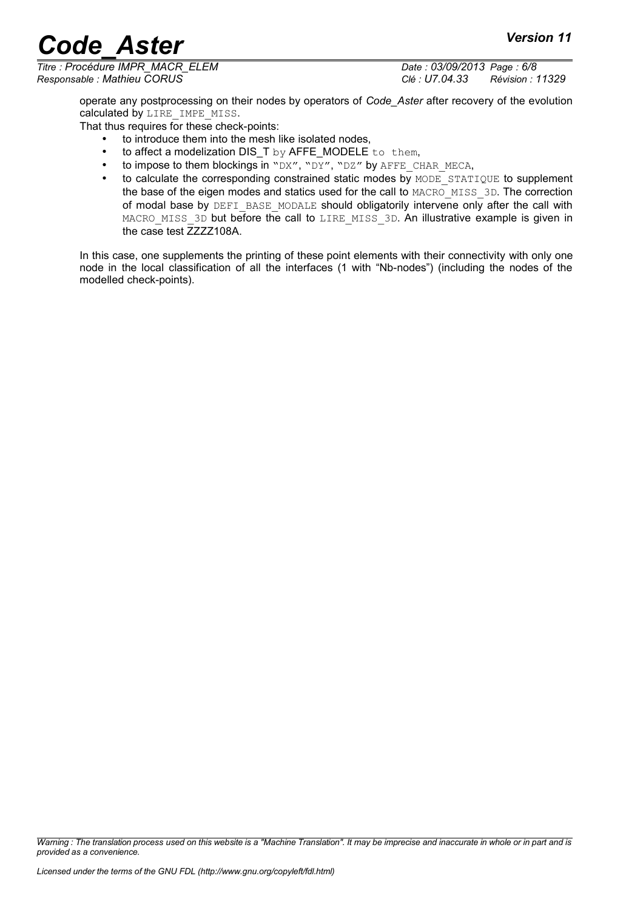*Titre : Procédure IMPR\_MACR\_ELEM Date : 03/09/2013 Page : 6/8*

*Responsable : Mathieu CORUS Clé : U7.04.33 Révision : 11329*

operate any postprocessing on their nodes by operators of *Code\_Aster* after recovery of the evolution calculated by LIRE IMPE MISS.

That thus requires for these check-points:

- to introduce them into the mesh like isolated nodes,
- to affect a modelization DIS\_T by AFFE\_MODELE to them,
- to impose to them blockings in "DX", "DY", "DZ" by AFFE\_CHAR\_MECA,
- to calculate the corresponding constrained static modes by MODE STATIQUE to supplement the base of the eigen modes and statics used for the call to MACRO\_MISS\_3D. The correction of modal base by DEFI\_BASE\_MODALE should obligatorily intervene only after the call with MACRO\_MISS\_3D but before the call to LIRE\_MISS\_3D. An illustrative example is given in the case test  $\overline{Z}$ ZZZ108A.

In this case, one supplements the printing of these point elements with their connectivity with only one node in the local classification of all the interfaces (1 with "Nb-nodes") (including the nodes of the modelled check-points).

*Warning : The translation process used on this website is a "Machine Translation". It may be imprecise and inaccurate in whole or in part and is provided as a convenience.*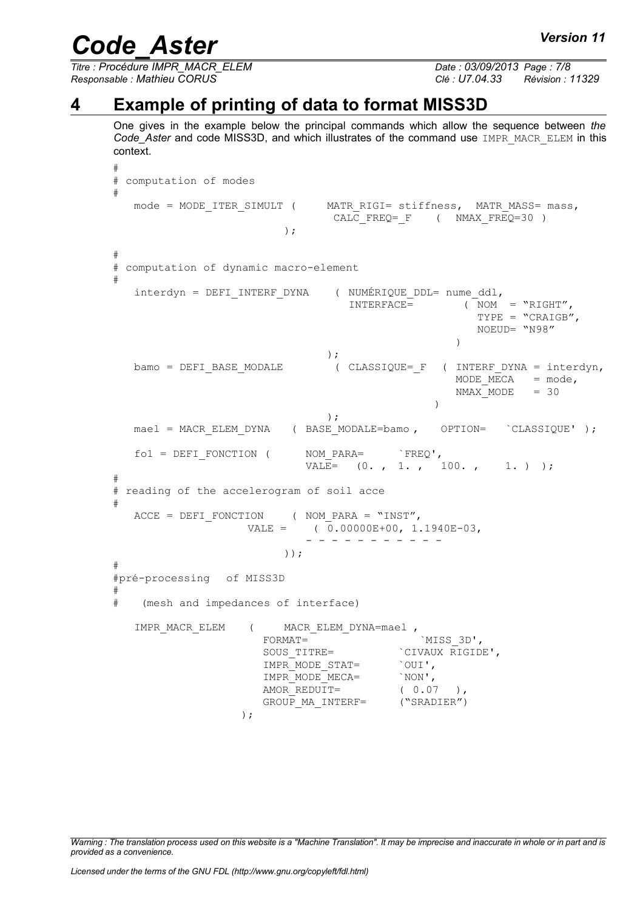*Titre : Procédure IMPR\_MACR\_ELEM Date : 03/09/2013 Page : 7/8 Responsable : Mathieu CORUS Clé : U7.04.33 Révision : 11329*

#### **4 Example of printing of data to format MISS3D**

<span id="page-6-0"></span>One gives in the example below the principal commands which allow the sequence between *the Code\_Aster* and code MISS3D, and which illustrates of the command use IMPR\_MACR\_ELEM in this context.

```
#
# computation of modes
#
  mode = MODE_ITER_SIMULT ( MATR_RIGI= stiffness, MATR_MASS= mass, 
                                CALC FREQ= F ( NMAX FREQ=30 )
                         );
#
# computation of dynamic macro-element
#
   intervalyn = DET_INTERF_DYNA (NUMERIQUE_DDL= nume_dd1, TNTERFACE= (NOM)
                                                  NOM = "RIGHT".TYPE = "CRAIGB", 
                                                       NOEUD= "N98"
                                                    )
                                );
   bamo = DEFI_BASE_MODALE ( CLASSIQUE= F ( INTERF_DYNA = interdyn,
                                                   MODE MECA = mode,
                                                   NMAX</math> <math>MODE</math> = 30)
                                );
  mael = MACR_ELEM_DYNA (BASE_MODALE=bamo , OPTION= \text{CLASSIQUE'} );
   fo1 = DEFI FONCTION ( NOM_PARA= `FREQ',
                             VALE= (0. , 1. , 100. , 1. );
#
# reading of the accelerogram of soil acce
#
   ACCE = DEFI FONCTION ( NOM PARA = "INST",
                    VALE = ( 0.00000E+00, 1.1940E-03,
                             - - - - - - - - - - - 
                         ));
#
#pré-processing of MISS3D
#
# (mesh and impedances of interface)
   IMPR MACR ELEM ( MACR ELEM DYNA=mael ,
                      FORMAT= `MISS_3D',
                      SOUS_TITRE= `CIVAUX RIGIDE',<br>IMPR MODE STAT= `OUI',
                      IMPR MODE STAT=
                      IMPR MODE MECA= `NON',
                      AMOR REDUIT= ( 0.07 ),
                      GROUP MA INTERF= ("SRADIER")
                   );
```
*Warning : The translation process used on this website is a "Machine Translation". It may be imprecise and inaccurate in whole or in part and is provided as a convenience.*